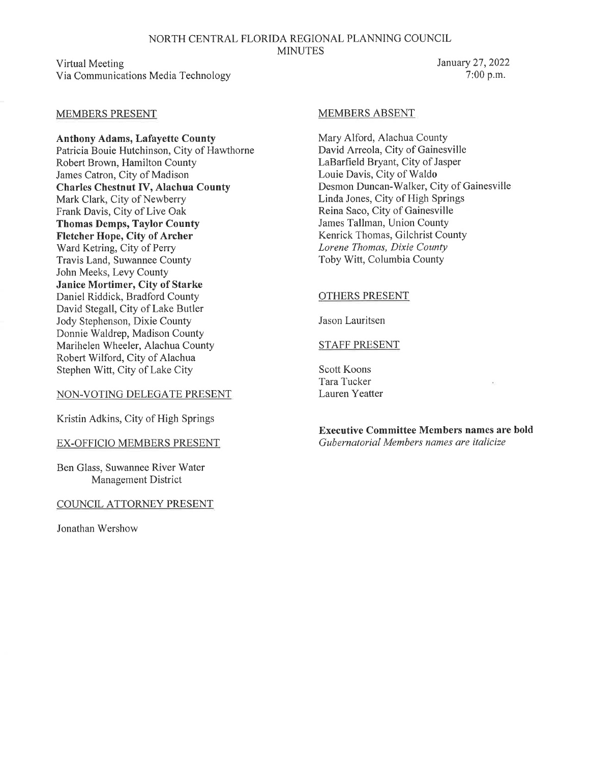NORTH CENTRAL FLORIDA REGIONAL PLANNING COUNCIL **MINUTES** 

Virtual Meeting Via Communications Media Technology

#### MEMBERS ABSENT

Mary Alford, Alachua County David Arreola, City of Gainesville LaBarfield Bryant, City of Jasper Louie Davis, City of Waldo Desmon Duncan-Walker, City of Gainesville Linda Jones, City of High Springs Reina Saco, City of Gainesville James Tallman, Union County Kenrick Thomas, Gilchrist County *Lorene Thomas, Dixie County*  Toby Witt, Columbia County

#### OTHERS PRESENT

Jason Lauritsen

#### STAFF PRESENT

Scott Koons Tara Tucker Lauren Yeatter

**Executive Committee Members names are bold**  *Gubernatorial Members names are italicize* 

#### MEMBERS PRESENT

**Anthony Adams, Lafayette County**  Patricia Bouie Hutchinson, City of Hawthorne Robert Brown, Hamilton County James Catron, City of Madison **Charles Chestnut IV, Alachua County**  Mark Clark, City of Newberry Frank Davis, City of Live Oak **Thomas Demps, Taylor County Fletcher Hope, City of Archer**  Ward Ketring, City of Perry Travis Land, Suwannee County John Meeks, Levy County **Janice Mortimer, City of Starke**  Daniel Riddick, Bradford County David Stegall, City of Lake Butler Jody Stephenson, Dixie County Donnie Waldrep, Madison County Marihelen Wheeler, Alachua County Robert Wilford, City of Alachua Stephen Witt, City of Lake City

#### NON-VOTING DELEGATE PRESENT

Kristin Adkins, City of High Springs

#### EX-OFFICIO MEMBERS PRESENT

Ben Glass, Suwannee River Water Management District

COUNCIL ATTORNEY PRESENT

Jonathan Wershow

January 27, 2022 7:00 p.m.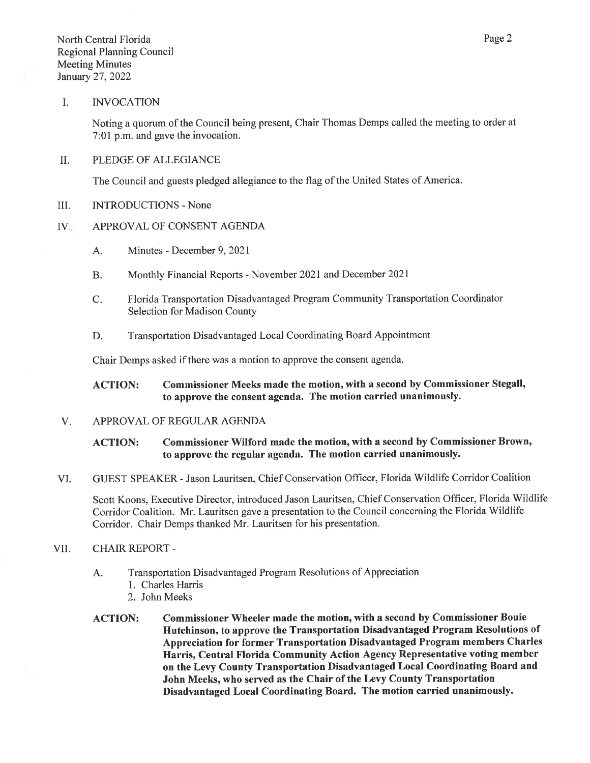#### I. INVOCATION

Noting a quorum of the Council being present, Chair Thomas Demps called the meeting to order at 7:01 p.m. and gave the invocation.

#### II. PLEDGE OF ALLEGIANCE

The Council and guests pledged allegiance to the flag of the United States of America.

III. INTRODUCTIONS - None

#### IV. APPROVAL OF CONSENT AGENDA

- A. Minutes December 9, 2021
- B. Monthly Financial Reports November 2021 and December 2021
- C. Florida Transportation Disadvantaged Program Community Transportation Coordinator Selection for Madison County
- D. Transportation Disadvantaged Local Coordinating Board Appointment

Chair Demps asked if there was a motion to approve the consent agenda.

#### ACTION: Commissioner Meeks made the motion, with a second by Commissioner Stegall, to approve the consent agenda. The motion carried unanimously.

V. APPROVAL OF REGULAR AGENDA

#### ACTION: Commissioner Wilford made the motion, with a second by Commissioner Brown, to approve the regular agenda. The motion carried unanimously.

VI. GUEST SPEAKER - Jason Lauritsen, Chief Conservation Officer, Florida Wildlife Corridor Coalition

Scott Koons, Executive Director, introduced Jason Lauritsen, Chief Conservation Officer, Florida Wildlife Corridor Coalition. Mr. Lauritsen gave a presentation to the Council concerning the Florida Wildlife Corridor. Chair Demps thanked Mr. Lauritsen for his presentation.

#### VII. CHAIR REPORT -

- A. Transportation Disadvantaged Program Resolutions of Appreciation
	- 1. Charles Harris
	- 2. John Meeks
- ACTION: Commissioner Wheeler made the motion, with a second by Commissioner Bouie Hutchinson, to approve the Transportation Disadvantaged Program Resolutions of Appreciation for former Transportation Disadvantaged Program members Charles Harris, Central Florida Community Action Agency Representative voting member on the Levy County Transportation Disadvantaged Local Coordinating Board and John Meeks, who served as the Chair of the Levy County Transportation Disadvantaged Local Coordinating Board. The motion carried unanimously.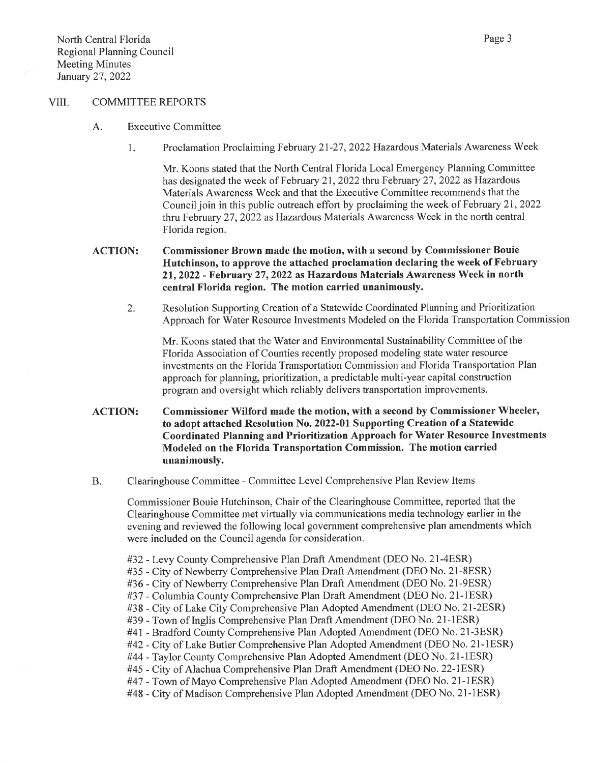#### VIII. COMMITTEE REPORTS

- A. Executive Committee
	- 1. Proclamation Proclaiming February 21-27, 2022 Hazardous Materials Awareness Week

Mr. Koons stated that the North Central Florida Local Emergency Planning Committee has designated the week of February 21, 2022 thru February 27, 2022 as Hazardous Materials Awareness Week and that the Executive Committee recommends that the Council join in this public outreach effort by proclaiming the week of February 21, 2022 thru February 27, 2022 as Hazardous Materials Awareness Week in the north central Florida region.

#### ACTION: Commissioner Brown made the motion, with a second by Commissioner Bouie Hutchinson, to approve the attached proclamation declaring the week of February 21, 2022 - February 27, 2022 as Hazardous Materials Awareness Week in north central Florida region. The motion carried unanimously.

2. Resolution Supporting Creation of a Statewide Coordinated Planning and Prioritization Approach for Water Resource Investments Modeled on the Florida Transportation Commission

Mr. Koons stated that the Water and Environmental Sustainability Committee of the Florida Association of Counties recently proposed modeling state water resource investments on the Florida Transportation Commission and Florida Transportation Plan approach for planning, prioritization, a predictable multi-year capital construction program and oversight which reliably delivers transportation improvements.

- ACTION: Commissioner Wilford made the motion, with a second by Commissioner Wheeler, to adopt attached Resolution No. 2022-01 Supporting Creation of a Statewide Coordinated Planning and Prioritization Approach for Water Resource Investments Modeled on the Florida Transportation Commission. The motion carried unanimously.
- B. Clearinghouse Committee Committee Level Comprehensive Plan Review Items

Commissioner Bouie Hutchinson, Chair of the Clearinghouse Committee, reported that the Clearinghouse Committee met virtually via communications media technology earlier in the evening and reviewed the following local government comprehensive plan amendments which were included on the Council agenda for consideration.

- #32 Levy County Comprehensive Plan Draft Amendment (DEO No. 21-4ESR)
- #35 City of Newberry Comprehensive Plan Draft Amendment (DEO No. 21-8ESR)
- #36 City of Newberry Comprehensive Plan Draft Amendment (DEO No. 21-9ESR)
- #37 Columbia County Comprehensive Plan Draft Amendment (DEO No. 21-lESR)
- #38 City of Lake City Comprehensive Plan Adopted Amendment (DEO No. 21-2ESR)
- #39 Town of Inglis Comprehensive Plan Draft Amendment (DEO No. 21-1ESR)
- #41 Bradford County Comprehensive Plan Adopted Amendment (DEO No. 21-3ESR)
- #42 City of Lake Butler Comprehensive Plan Adopted Amendment (DEO No. 21-lESR)
- #44 -Taylor County Comprehensive Plan Adopted Amendment (DEO No. 21-lESR)
- #45 City of Alachua Comprehensive Plan Draft Amendment (DEO No. 22-lESR)
- #47 Town of Mayo Comprehensive Plan Adopted Amendment (DEO No. 21-1ESR)
- #48 City of Madison Comprehensive Plan Adopted Amendment (DEO No. 21-lESR)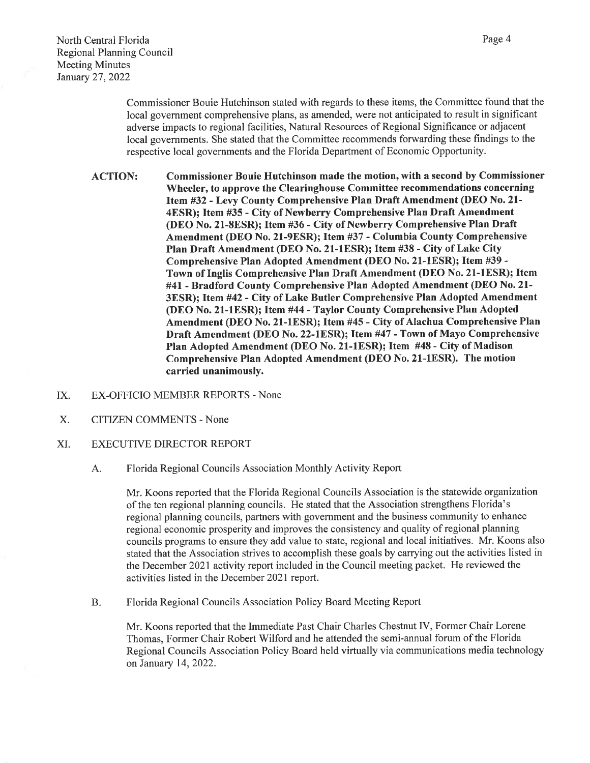Page 4

Commissioner Bouie Hutchinson stated with regards to these items, the Committee found that the local government comprehensive plans, as amended, were not anticipated to result in significant adverse impacts to regional facilities, Natural Resources of Regional Significance or adjacent local governments. She stated that the Committee recommends forwarding these findings to the respective local governments and the Florida Department of Economic Opportunity.

ACTION: Commissioner Bouie Hutchinson made the motion, with a second by Commissioner Wheeler, to approve the Clearinghouse Committee recommendations concerning Item #32 - Levy County Comprehensive Plan Draft Amendment (DEO No. 21- 4ESR); Item #35 - City of Newberry Comprehensive Plan Draft Amendment (DEO No. 21-8ESR); Item #36 - City of Newberry Comprehensive Plan Draft Amendment (DEO No. 21-9ESR); Item #37 - Columbia County Comprehensive Plan Draft Amendment (DEO No. 21-lESR); Item #38 - City of Lake City Comprehensive Plan Adopted Amendment (DEO No. 21-lESR); Item #39- Town of Inglis Comprehensive Plan Draft Amendment (DEO No. 21-1ESR); Item #41 - Bradford County Comprehensive Plan Adopted Amendment (DEO No. 21- 3ESR); Item #42 - City of Lake Butler Comprehensive Plan Adopted Amendment (DEO No. 21-lESR); Item #44 - Taylor County Comprehensive Plan Adopted Amendment (DEO No. 21-lESR); Item #45 - City of Alachua Comprehensive Plan Draft Amendment (DEO No. 22-lESR); Item #47 -Town of Mayo Comprehensive Plan Adopted Amendment (DEO No. 21-lESR); Item #48- City of Madison Comprehensive Plan Adopted Amendment (DEO No. 21-lESR). The motion carried unanimously.

- IX. EX-OFFICIO MEMBER REPORTS None
- X. CITIZEN COMMENTS None
- XI. EXECUTIVE DIRECTOR REPORT
	- A. Florida Regional Councils Association Monthly Activity Report

Mr. Koons reported that the Florida Regional Councils Association is the statewide organization of the ten regional planning councils. He stated that the Association strengthens Florida's regional planning councils, partners with government and the business community to enhance regional economic prosperity and improves the consistency and quality of regional planning councils programs to ensure they add value to state, regional and local initiatives. Mr. Koons also stated that the Association strives to accomplish these goals by carrying out the activities listed in the December 2021 activity report included in the Council meeting packet. He reviewed the activities listed in the December 2021 report.

B. Florida Regional Councils Association Policy Board Meeting Report

Mr. Koons reported that the Immediate Past Chair Charles Chestnut IV, Former Chair Lorene Thomas, Former Chair Robert Wilford and he attended the semi-annual forum of the Florida Regional Councils Association Policy Board held virtually via communications media technology on January 14, 2022.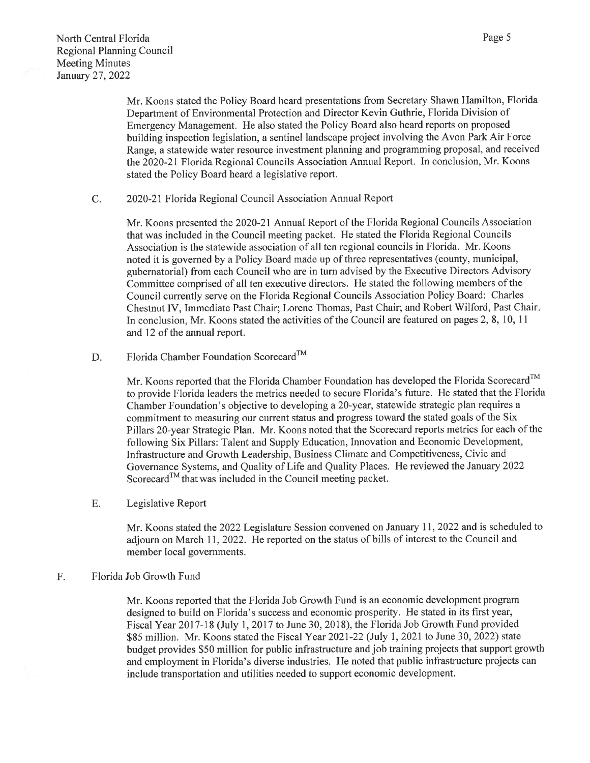Mr. Koons stated the Policy Board heard presentations from Secretary Shawn Hamilton, Florida Department of Environmental Protection and Director Kevin Guthrie, Florida Division of Emergency Management. He also stated the Policy Board also heard reports on proposed building inspection legislation, a sentinel landscape project involving the Avon Park Air Force Range, a statewide water resource investment planning and programming proposal, and received the 2020-21 Florida Regional Councils Association Annual Report. In conclusion, Mr. Koons stated the Policy Board heard a legislative report.

C. 2020-21 Florida Regional Council Association Annual Report

Mr. Koons presented the 2020-21 Annual Report of the Florida Regional Councils Association that was included in the Council meeting packet. He stated the Florida Regional Councils Association is the statewide association of all ten regional councils in Florida. Mr. Koons noted it is governed by a Policy Board made up of three representatives (county, municipal, gubernatorial) from each Council who are in tum advised by the Executive Directors Advisory Committee comprised of all ten executive directors. He stated the following members of the Council currently serve on the Florida Regional Councils Association Policy Board: Charles Chestnut IV, Immediate Past Chair; Lorene Thomas, Past Chair; and Robert Wilford, Past Chair. In conclusion, Mr. Koons stated the activities of the Council are featured on pages 2, 8, 10, 11 and 12 of the annual report.

D. Florida Chamber Foundation Scorecard<sup>™</sup>

Mr. Koons reported that the Florida Chamber Foundation has developed the Florida Scorecard™ to provide Florida leaders the metrics needed to secure Florida's future. He stated that the Florida Chamber Foundation's objective to developing a 20-year, statewide strategic plan requires a commitment to measuring our current status and progress toward the stated goals of the Six Pillars 20-year Strategic Plan. Mr. Koons noted that the Scorecard reports metrics for each of the following Six Pillars: Talent and Supply Education, Innovation and Economic Development, Infrastructure and Growth Leadership, Business Climate and Competitiveness, Civic and Governance Systems, and Quality of Life and Quality Places. He reviewed the January 2022 Scorecard™ that was included in the Council meeting packet.

E. Legislative Report

Mr. Koons stated the 2022 Legislature Session convened on January 11, 2022 and is scheduled to adjourn on March 11, 2022. He reported on the status of bills of interest to the Council and member local governments.

#### F. Florida Job Growth Fund

Mr. Koons reported that the Florida Job Growth Fund is an economic development program designed to build on Florida's success and economic prosperity. He stated in its first year, Fiscal Year 2017-18 (July 1, 2017 to June 30, 2018), the Florida Job Growth Fund provided \$85 million. Mr. Koons stated the Fiscal Year 2021-22 (July 1, 2021 to June 30, 2022) state budget provides \$50 million for public infrastructure and job training projects that support growth and employment in Florida's diverse industries. He noted that public infrastructure projects can include transportation and utilities needed to support economic development.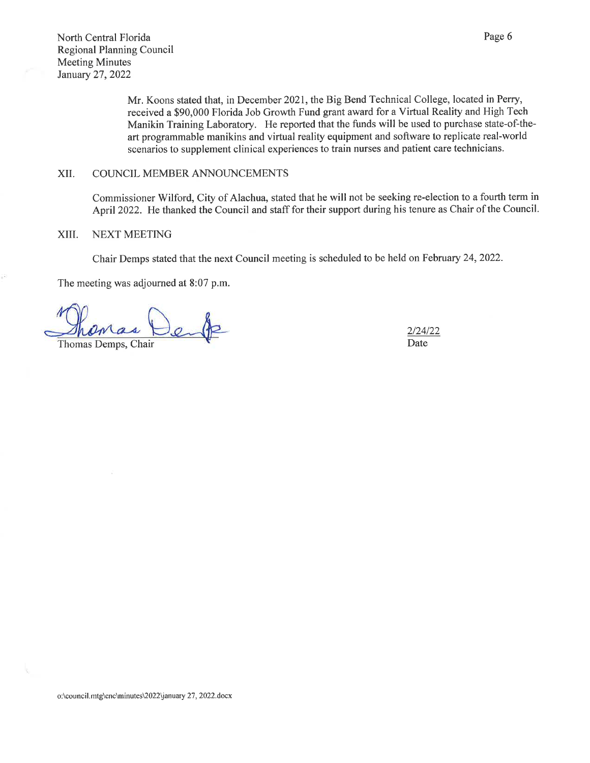Mr. Koons stated that, in December 2021, the Big Bend Technical College, located in Perry, received a \$90,000 Florida Job Growth Fund grant award for a Virtual Reality and High Tech Manikin Training Laboratory. He reported that the funds will be used to purchase state-of-theart programmable manikins and virtual reality equipment and software to replicate real-world scenarios to supplement clinical experiences to train nurses and patient care technicians.

#### XII. COUNCIL MEMBER ANNOUNCEMENTS

Commissioner Wilford, City of Alachua, stated that he will not be seeking re-election to a fourth term in April 2022. He thanked the Council and staff for their support during his tenure as Chair of the Council.

#### XIII. NEXT MEETING

Chair Demps stated that the next Council meeting is scheduled to be held on February 24, 2022.

The meeting was adjourned at 8:07 p.m.

Thomas Demps, Chair

2/24/22 Date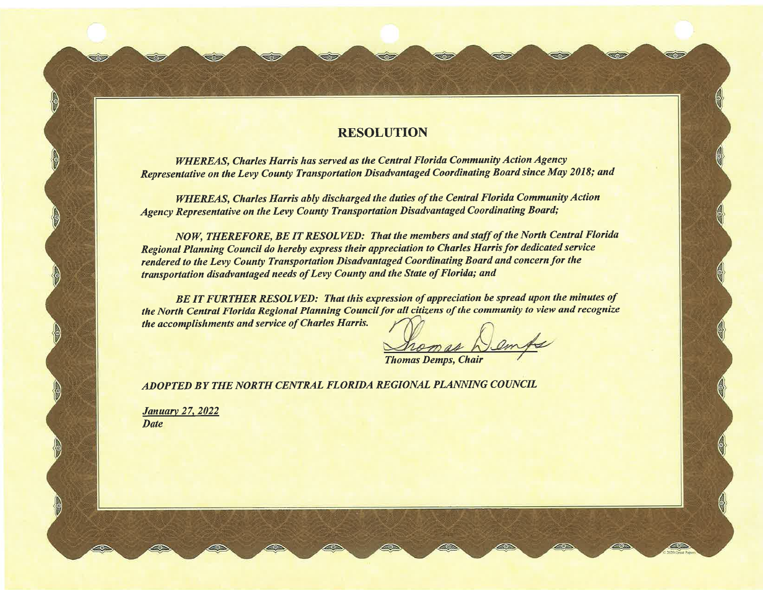## **RESOLUTION**

to

SOF

33

*WHEREAS, Charles Harris has served as the Central Florida Community Action Agency Representative on the Levy County Transportation Disadvantaged Coordinating Board since May 2018; and* 

*WHEREAS, Charles Harris ably discharged the duties of the Central Florida Community Action Agency Representative on the Levy County Transportation Disadvantaged Coordinating Board;* 

*NOW, THEREFORE, BE IT RESOLVED: That the members and staff of the North Central Florida Regional Planning Council do hereby express their appreciation to Charles Harris for dedicated service rendered to the Levy County Transportation Disadvantaged Coordinating Board and concern for the transportation disadvantaged needs of Levy County and the State of Florida; and* 

*BE IT FURTHER RESOLVED: That this expression of appreciation be spread upon the minutes of the North Central Florida Regional Planning Council/or all citizens of the community to view and recognize* ........ *the accomplishments and service of Charles Harris.* 

**Thomas Demps, Chair** 

*ADOPTED BY THE NORTH CENTRAL FLORIDA REGIONAL PLANNING COUNCIL* 

*January 27, 2022 Date* 

en

30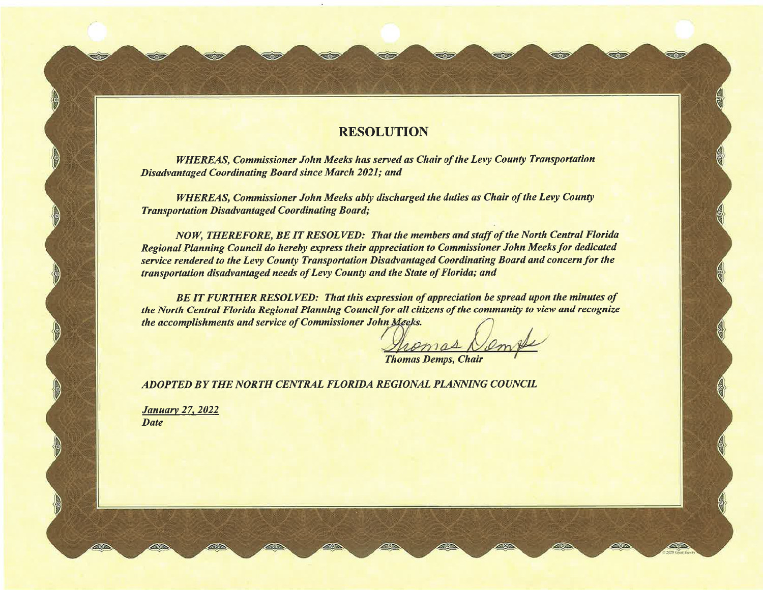## **RESOLUTION**

*WHEREAS, Commissioner John Meeks has served as Chair of the Levy County Transportation Disadvantaged Coordinating Board since March 2021; and* 

一の方

*WHEREAS, Commissioner John Meeks ably discharged the duties as Chair of the Levy County Transportation Disadvantaged Coordinating Board;* 

*NOW, THEREFORE, BE IT RESOLVED: That the members and staff of the North Central Florida Regional Planning Council do hereby express their appreciation to Commissioner John Meeks for dedicated service rendered to the Levy County Transportation Disadvantaged Coordinating Board and concern for the transportation disadvantaged needs of Levy County and the State of Florida; and* 

*BE IT FURTHER RESOLVED: That this expression of appreciation be spread upon the minutes of the North Central Florida Regional Planning Council for all citizens of the community to view and recognize the accomplishments and service of Commissioner John* 

**Thomas Demps, Chair** 

*ADOPTED BY THE NORTH CENTRAL FLORIDA REGIONAL PLANNING COUNCIL* 

*January 27, 2022 Date* 

SOF

**STAR**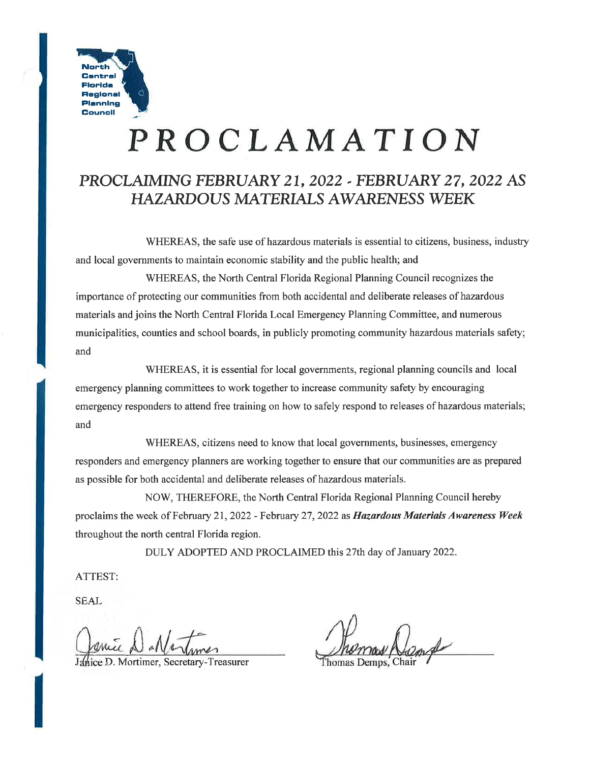

# **PROCLAMATION**

# **PROCLAIMING** *FEBRUARY* **21, 2022 ..** *FEBRUARY* **27,** *2022* **AS**  *HAZARDOUS* **MATERIALS AWARENESS WEEK**

WHEREAS, the safe use of hazardous materials is essential to citizens, business, industry and local governments to maintain economic stability and the public health; and

WHEREAS, the North Central Florida Regional Planning Council recognizes the importance of protecting our communities from both accidental and deliberate releases of hazardous materials and joins the North Central Florida Local Emergency Planning Committee, and numerous municipalities, counties and school boards, in publicly promoting community hazardous materials safety; and

WHEREAS, it is essential for local governments, regional planning councils and local emergency planning committees to work together to increase community safety by encouraging emergency responders to attend free training on how to safely respond to releases of hazardous materials; and

WHEREAS, citizens need to know that local governments, businesses, emergency responders and emergency planners are working together to ensure that our communities are as prepared as possible for both accidental and deliberate releases of hazardous materials.

NOW, THEREFORE, the North Central Florida Regional Planning Council hereby proclaims the week of February 21, 2022 - February 27, 2022 as *Hazardous Materials Awareness Week*  throughout the north central Florida region.

DULY ADOPTED AND PROCLAIMED this 27th day of January 2022.

ATTEST:

SEAL

I<br>I<br>I<br>I<br>I

e D. Mortimer, Secretary-Treasurer

Thomas Demps.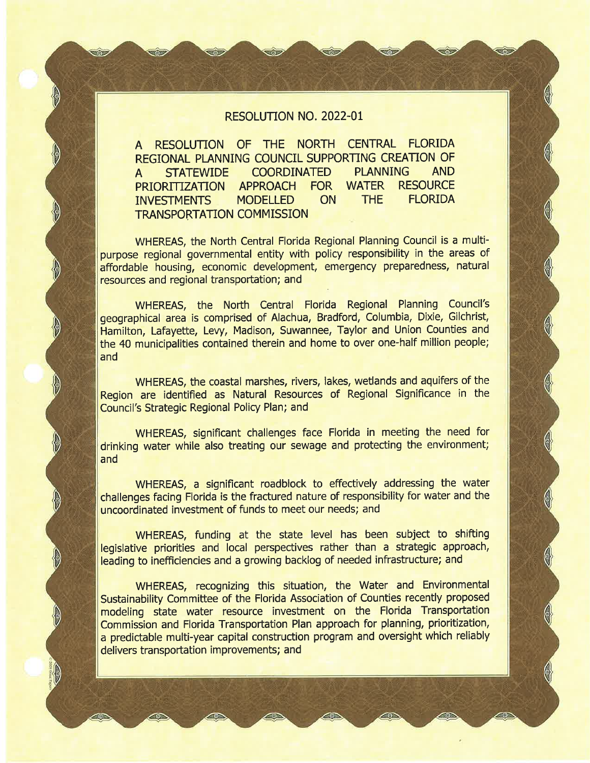#### RESOLUTION NO. 2022-01

A RESOLUTION OF THE NORTH CENTRAL FLORIDA REGIONAL PLANNING COUNCIL SUPPORTING CREATION OF A STATEWIDE COORDINATED PLANNING AND PRIORITIZATION APPROACH FOR WATER RESOURCE INVESTMENTS MODELLED ON THE FLORIDA TRANSPORTATION COMMISSION

 $\Omega$ 

P<br>P

**S** 

WHEREAS, the North Central Florida Regional Planning Council is a multipurpose regional governmental entity with policy responsibility in the areas of affordable housing, economic development, emergency preparedness, natural resources and regional transportation; and

WHEREAS, the North Central Florida Regional Planning Council's geographical area is comprised of Alachua, Bradford, Columbia, Dixie, Gilchrist, Hamilton, Lafayette, Levy, Madison, Suwannee, Taylor and Union Counties and the 40 municipalities contained therein and home to over one-half million people; and

WHEREAS, the coastal marshes, rivers, lakes, wetlands and aquifers of the Region are identified as Natural Resources of Regional Significance in the Council's Strategic Regional Policy Plan; and

WHEREAS, significant challenges face Florida in meeting the need for drinking water while also treating our sewage and protecting the environment; and

WHEREAS, a significant roadblock to effectively addressing the water challenges facing Florida is the fractured nature of responsibility for water and the uncoordinated investment of funds to meet our needs; and

WHEREAS, funding at the state level has been subject to shifting legislative priorities and local perspectives rather than a strategic approach, leading to inefficiencies and a growing backlog of needed infrastructure; and

WHEREAS, recognizing this situation, the Water and Environmental Sustainability Committee of the Florida Association of Counties recently proposed modeling state water resource investment on the Florida Transportation Commission and Florida Transportation Plan approach for planning, prioritization, a predictable multi-year capital construction program and oversight which reliably delivers transportation improvements; and